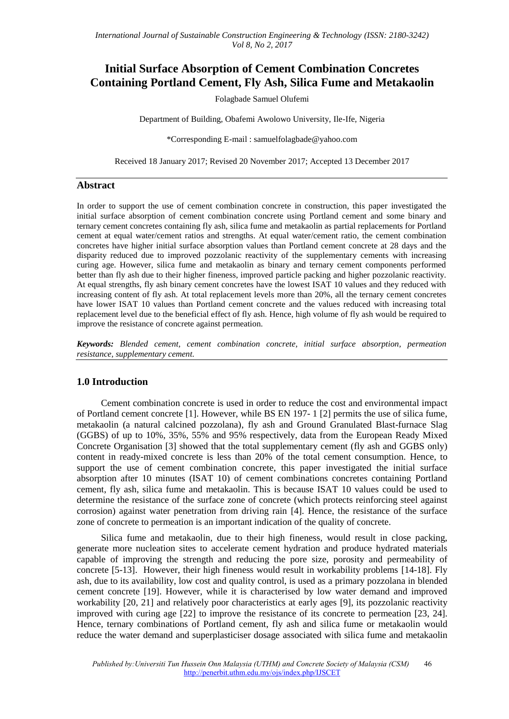# **Initial Surface Absorption of Cement Combination Concretes Containing Portland Cement, Fly Ash, Silica Fume and Metakaolin**

Folagbade Samuel Olufemi

Department of Building, Obafemi Awolowo University, Ile-Ife, Nigeria

\*Corresponding E-mail : samuelfolagbade@yahoo.com

Received 18 January 2017; Revised 20 November 2017; Accepted 13 December 2017

### **Abstract**

In order to support the use of cement combination concrete in construction, this paper investigated the initial surface absorption of cement combination concrete using Portland cement and some binary and ternary cement concretes containing fly ash, silica fume and metakaolin as partial replacements for Portland cement at equal water/cement ratios and strengths. At equal water/cement ratio, the cement combination concretes have higher initial surface absorption values than Portland cement concrete at 28 days and the disparity reduced due to improved pozzolanic reactivity of the supplementary cements with increasing curing age. However, silica fume and metakaolin as binary and ternary cement components performed better than fly ash due to their higher fineness, improved particle packing and higher pozzolanic reactivity. At equal strengths, fly ash binary cement concretes have the lowest ISAT 10 values and they reduced with increasing content of fly ash. At total replacement levels more than 20%, all the ternary cement concretes have lower ISAT 10 values than Portland cement concrete and the values reduced with increasing total replacement level due to the beneficial effect of fly ash. Hence, high volume of fly ash would be required to improve the resistance of concrete against permeation.

*Keywords: Blended cement, cement combination concrete, initial surface absorption, permeation resistance, supplementary cement.*

### **1.0 Introduction**

Cement combination concrete is used in order to reduce the cost and environmental impact of Portland cement concrete [1]. However, while BS EN 197- 1 [2] permits the use of silica fume, metakaolin (a natural calcined pozzolana), fly ash and Ground Granulated Blast-furnace Slag (GGBS) of up to 10%, 35%, 55% and 95% respectively, data from the European Ready Mixed Concrete Organisation [3] showed that the total supplementary cement (fly ash and GGBS only) content in ready-mixed concrete is less than 20% of the total cement consumption. Hence, to support the use of cement combination concrete, this paper investigated the initial surface absorption after 10 minutes (ISAT 10) of cement combinations concretes containing Portland cement, fly ash, silica fume and metakaolin. This is because ISAT 10 values could be used to determine the resistance of the surface zone of concrete (which protects reinforcing steel against corrosion) against water penetration from driving rain [4]. Hence, the resistance of the surface zone of concrete to permeation is an important indication of the quality of concrete.

Silica fume and metakaolin, due to their high fineness, would result in close packing, generate more nucleation sites to accelerate cement hydration and produce hydrated materials capable of improving the strength and reducing the pore size, porosity and permeability of concrete [5-13]. However, their high fineness would result in workability problems [14-18]. Fly ash, due to its availability, low cost and quality control, is used as a primary pozzolana in blended cement concrete [19]. However, while it is characterised by low water demand and improved workability [20, 21] and relatively poor characteristics at early ages [9], its pozzolanic reactivity improved with curing age [22] to improve the resistance of its concrete to permeation [23, 24]. Hence, ternary combinations of Portland cement, fly ash and silica fume or metakaolin would reduce the water demand and superplasticiser dosage associated with silica fume and metakaolin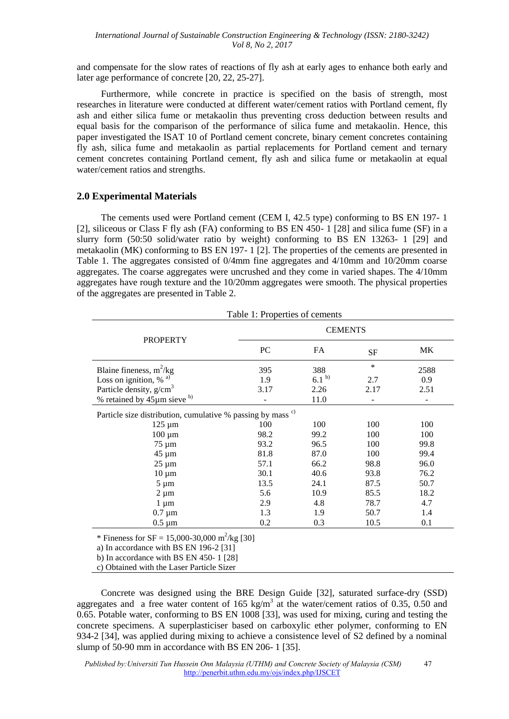and compensate for the slow rates of reactions of fly ash at early ages to enhance both early and later age performance of concrete [20, 22, 25-27].

Furthermore, while concrete in practice is specified on the basis of strength, most researches in literature were conducted at different water/cement ratios with Portland cement, fly ash and either silica fume or metakaolin thus preventing cross deduction between results and equal basis for the comparison of the performance of silica fume and metakaolin. Hence, this paper investigated the ISAT 10 of Portland cement concrete, binary cement concretes containing fly ash, silica fume and metakaolin as partial replacements for Portland cement and ternary cement concretes containing Portland cement, fly ash and silica fume or metakaolin at equal water/cement ratios and strengths.

### **2.0 Experimental Materials**

The cements used were Portland cement (CEM I, 42.5 type) conforming to BS EN 197- 1 [2], siliceous or Class F fly ash (FA) conforming to BS EN 450- 1 [28] and silica fume (SF) in a slurry form (50:50 solid/water ratio by weight) conforming to BS EN 13263- 1 [29] and metakaolin (MK) conforming to BS EN 197- 1 [2]. The properties of the cements are presented in Table 1. The aggregates consisted of 0/4mm fine aggregates and 4/10mm and 10/20mm coarse aggregates. The coarse aggregates were uncrushed and they come in varied shapes. The 4/10mm aggregates have rough texture and the 10/20mm aggregates were smooth. The physical properties of the aggregates are presented in Table 2.

|                                                                        | <b>CEMENTS</b> |                   |           |      |  |  |
|------------------------------------------------------------------------|----------------|-------------------|-----------|------|--|--|
| <b>PROPERTY</b>                                                        | PC             | FA                | <b>SF</b> | МK   |  |  |
| Blaine fineness, $m^2/kg$                                              | 395            | 388               | $\ast$    | 2588 |  |  |
| Loss on ignition, $%$ <sup>a)</sup>                                    | 1.9            | 6.1 <sup>b)</sup> | 2.7       | 0.9  |  |  |
| Particle density, $g/cm3$                                              | 3.17           | 2.26              | 2.17      | 2.51 |  |  |
| % retained by $45 \mu m$ sieve b)                                      |                | 11.0              |           |      |  |  |
| Particle size distribution, cumulative % passing by mass <sup>c)</sup> |                |                   |           |      |  |  |
| $125 \mu m$                                                            | 100            | 100               | 100       | 100  |  |  |
| $100 \mu m$                                                            | 98.2           | 99.2              | 100       | 100  |  |  |
| 75 µm                                                                  | 93.2           | 96.5              | 100       | 99.8 |  |  |
| 45 µm                                                                  | 81.8           | 87.0              | 100       | 99.4 |  |  |
| $25 \mu m$                                                             | 57.1           | 66.2              | 98.8      | 96.0 |  |  |
| $10 \mu m$                                                             | 30.1           | 40.6              | 93.8      | 76.2 |  |  |
| $5 \mu m$                                                              | 13.5           | 24.1              | 87.5      | 50.7 |  |  |
| $2 \mu m$                                                              | 5.6            | 10.9              | 85.5      | 18.2 |  |  |
| $1 \mu m$                                                              | 2.9            | 4.8               | 78.7      | 4.7  |  |  |
| $0.7 \mu m$                                                            | 1.3            | 1.9               | 50.7      | 1.4  |  |  |
| $0.5 \mu m$                                                            | 0.2            | 0.3               | 10.5      | 0.1  |  |  |

b) In accordance with BS EN 450- 1 [28]

c) Obtained with the Laser Particle Sizer

Concrete was designed using the BRE Design Guide [32], saturated surface-dry (SSD) aggregates and a free water content of 165 kg/m<sup>3</sup> at the water/cement ratios of 0.35, 0.50 and 0.65. Potable water, conforming to BS EN 1008 [33], was used for mixing, curing and testing the concrete specimens. A superplasticiser based on carboxylic ether polymer, conforming to EN 934-2 [34], was applied during mixing to achieve a consistence level of S2 defined by a nominal slump of 50-90 mm in accordance with BS EN 206- 1 [35].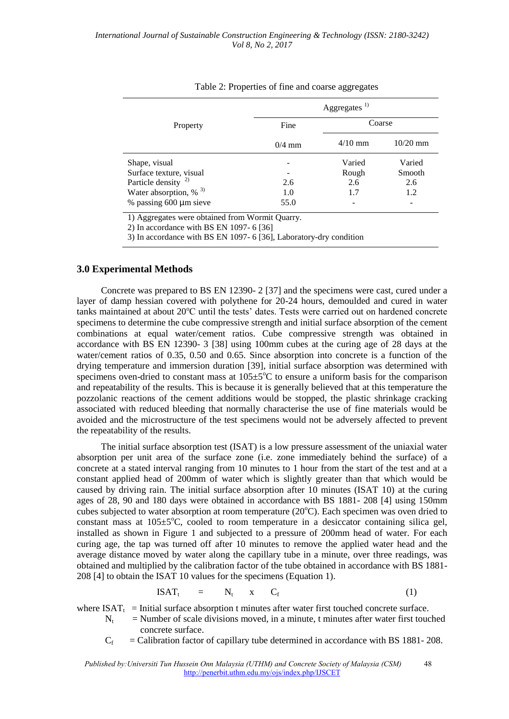|                                      | Aggregates <sup>1)</sup> |           |            |  |  |
|--------------------------------------|--------------------------|-----------|------------|--|--|
| Property                             | Fine                     | Coarse    |            |  |  |
|                                      | $0/4$ mm                 | $4/10$ mm | $10/20$ mm |  |  |
| Shape, visual                        |                          | Varied    | Varied     |  |  |
| Surface texture, visual              |                          | Rough     | Smooth     |  |  |
| Particle density $^{2)}$             | 2.6                      | 2.6       | 2.6        |  |  |
| Water absorption, $\%$ <sup>3)</sup> | 1.0                      | 1.7       | 1.2        |  |  |
| % passing $600 \mu m$ sieve          | 55.0                     |           |            |  |  |

#### Table 2: Properties of fine and coarse aggregates

1) Aggregates were obtained from Wormit Quarry.

2) In accordance with BS EN 1097- 6 [36]

3) In accordance with BS EN 1097- 6 [36], Laboratory-dry condition

### **3.0 Experimental Methods**

Concrete was prepared to BS EN 12390- 2 [37] and the specimens were cast, cured under a layer of damp hessian covered with polythene for 20-24 hours, demoulded and cured in water tanks maintained at about 20°C until the tests' dates. Tests were carried out on hardened concrete specimens to determine the cube compressive strength and initial surface absorption of the cement combinations at equal water/cement ratios. Cube compressive strength was obtained in accordance with BS EN 12390- 3 [38] using 100mm cubes at the curing age of 28 days at the water/cement ratios of 0.35, 0.50 and 0.65. Since absorption into concrete is a function of the drying temperature and immersion duration [39], initial surface absorption was determined with specimens oven-dried to constant mass at  $105 \pm 5^{\circ}$ C to ensure a uniform basis for the comparison and repeatability of the results. This is because it is generally believed that at this temperature the pozzolanic reactions of the cement additions would be stopped, the plastic shrinkage cracking associated with reduced bleeding that normally characterise the use of fine materials would be avoided and the microstructure of the test specimens would not be adversely affected to prevent the repeatability of the results.

The initial surface absorption test (ISAT) is a low pressure assessment of the uniaxial water absorption per unit area of the surface zone (i.e. zone immediately behind the surface) of a concrete at a stated interval ranging from 10 minutes to 1 hour from the start of the test and at a constant applied head of 200mm of water which is slightly greater than that which would be caused by driving rain. The initial surface absorption after 10 minutes (ISAT 10) at the curing ages of 28, 90 and 180 days were obtained in accordance with BS 1881- 208 [4] using 150mm cubes subjected to water absorption at room temperature  $(20^{\circ}$ C). Each specimen was oven dried to constant mass at  $105 \pm 5^{\circ}$ C, cooled to room temperature in a desiccator containing silica gel, installed as shown in Figure 1 and subjected to a pressure of 200mm head of water. For each curing age, the tap was turned off after 10 minutes to remove the applied water head and the average distance moved by water along the capillary tube in a minute, over three readings, was obtained and multiplied by the calibration factor of the tube obtained in accordance with BS 1881- 208 [4] to obtain the ISAT 10 values for the specimens (Equation 1).

$$
ISAT_t = N_t \times C_f \tag{1}
$$

where  $ISAT_t$  = Initial surface absorption t minutes after water first touched concrete surface.

- $N_t$  = Number of scale divisions moved, in a minute, t minutes after water first touched concrete surface.
- $C_f$ = Calibration factor of capillary tube determined in accordance with BS 1881- 208.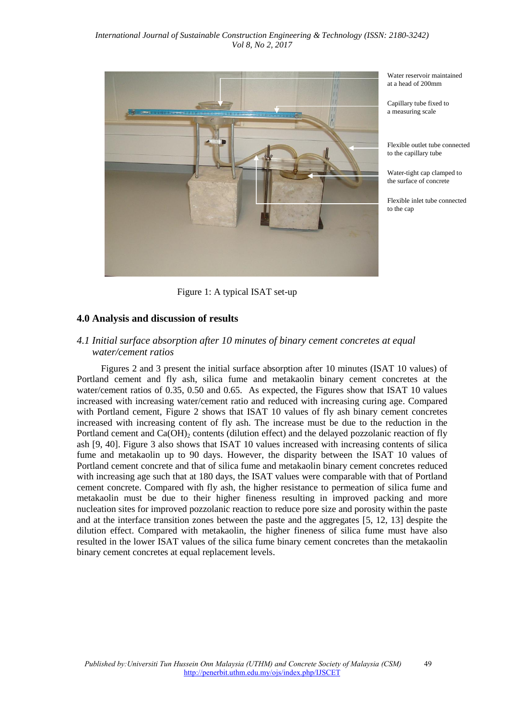

Water reservoir maintained at a head of 200mm

Capillary tube fixed to a measuring scale

Flexible outlet tube connected to the capillary tube

Water-tight cap clamped to the surface of concrete

Flexible inlet tube connected to the cap

Figure 1: A typical ISAT set-up

# **4.0 Analysis and discussion of results**

### *4.1 Initial surface absorption after 10 minutes of binary cement concretes at equal water/cement ratios*

Figures 2 and 3 present the initial surface absorption after 10 minutes (ISAT 10 values) of Portland cement and fly ash, silica fume and metakaolin binary cement concretes at the water/cement ratios of 0.35, 0.50 and 0.65. As expected, the Figures show that ISAT 10 values increased with increasing water/cement ratio and reduced with increasing curing age. Compared with Portland cement, Figure 2 shows that ISAT 10 values of fly ash binary cement concretes increased with increasing content of fly ash. The increase must be due to the reduction in the Portland cement and  $Ca(OH)_{2}$  contents (dilution effect) and the delayed pozzolanic reaction of fly ash [9, 40]. Figure 3 also shows that ISAT 10 values increased with increasing contents of silica fume and metakaolin up to 90 days. However, the disparity between the ISAT 10 values of Portland cement concrete and that of silica fume and metakaolin binary cement concretes reduced with increasing age such that at 180 days, the ISAT values were comparable with that of Portland cement concrete. Compared with fly ash, the higher resistance to permeation of silica fume and metakaolin must be due to their higher fineness resulting in improved packing and more nucleation sites for improved pozzolanic reaction to reduce pore size and porosity within the paste and at the interface transition zones between the paste and the aggregates [5, 12, 13] despite the dilution effect. Compared with metakaolin, the higher fineness of silica fume must have also resulted in the lower ISAT values of the silica fume binary cement concretes than the metakaolin binary cement concretes at equal replacement levels.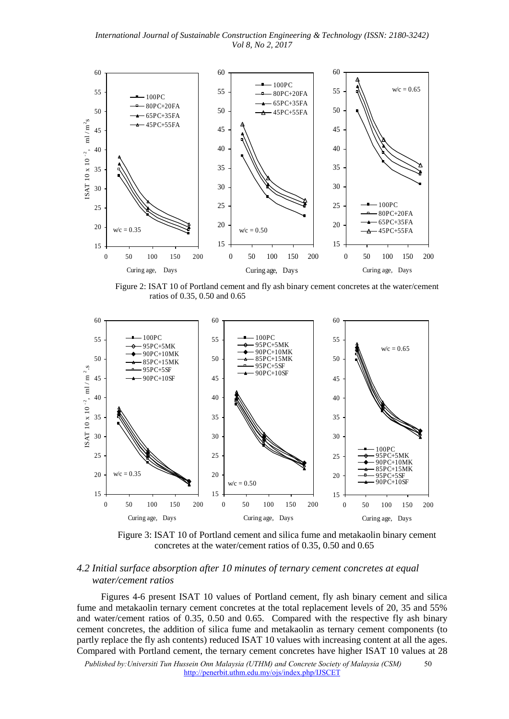*International Journal of Sustainable Construction Engineering & Technology (ISSN: 2180-3242) Vol 8, No 2, 2017*



 Figure 2: ISAT 10 of Portland cement and fly ash binary cement concretes at the water/cement ratios of 0.35, 0.50 and 0.65



 Figure 3: ISAT 10 of Portland cement and silica fume and metakaolin binary cement concretes at the water/cement ratios of 0.35, 0.50 and 0.65

# *4.2 Initial surface absorption after 10 minutes of ternary cement concretes at equal water/cement ratios*

Figures 4-6 present ISAT 10 values of Portland cement, fly ash binary cement and silica fume and metakaolin ternary cement concretes at the total replacement levels of 20, 35 and 55% and water/cement ratios of 0.35, 0.50 and 0.65. Compared with the respective fly ash binary cement concretes, the addition of silica fume and metakaolin as ternary cement components (to partly replace the fly ash contents) reduced ISAT 10 values with increasing content at all the ages. Compared with Portland cement, the ternary cement concretes have higher ISAT 10 values at 28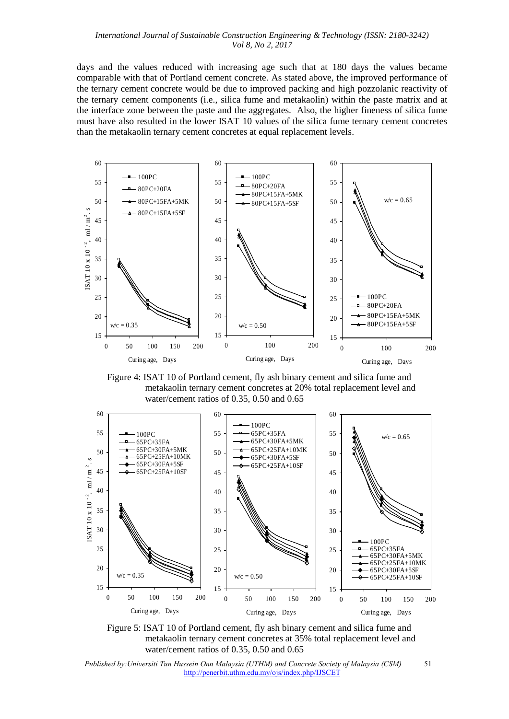days and the values reduced with increasing age such that at 180 days the values became comparable with that of Portland cement concrete. As stated above, the improved performance of the ternary cement concrete would be due to improved packing and high pozzolanic reactivity of the ternary cement components (i.e., silica fume and metakaolin) within the paste matrix and at the interface zone between the paste and the aggregates. Also, the higher fineness of silica fume must have also resulted in the lower ISAT 10 values of the silica fume ternary cement concretes than the metakaolin ternary cement concretes at equal replacement levels.



 Figure 4: ISAT 10 of Portland cement, fly ash binary cement and silica fume and metakaolin ternary cement concretes at 20% total replacement level and water/cement ratios of 0.35, 0.50 and 0.65



 Figure 5: ISAT 10 of Portland cement, fly ash binary cement and silica fume and metakaolin ternary cement concretes at 35% total replacement level and water/cement ratios of 0.35, 0.50 and 0.65

 *Published by:Universiti Tun Hussein Onn Malaysia (UTHM) and Concrete Society of Malaysia (CSM)* 51 http://penerbit.uthm.edu.my/ojs/index.php/IJSCET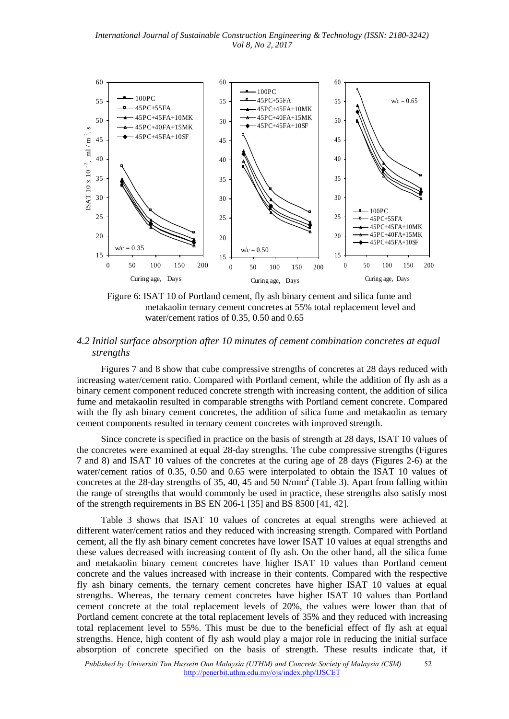

 Figure 6: ISAT 10 of Portland cement, fly ash binary cement and silica fume and metakaolin ternary cement concretes at 55% total replacement level and water/cement ratios of 0.35, 0.50 and 0.65

# *4.2 Initial surface absorption after 10 minutes of cement combination concretes at equal strengths*

Figures 7 and 8 show that cube compressive strengths of concretes at 28 days reduced with increasing water/cement ratio. Compared with Portland cement, while the addition of fly ash as a binary cement component reduced concrete strength with increasing content, the addition of silica fume and metakaolin resulted in comparable strengths with Portland cement concrete. Compared with the fly ash binary cement concretes, the addition of silica fume and metakaolin as ternary cement components resulted in ternary cement concretes with improved strength.

Since concrete is specified in practice on the basis of strength at 28 days, ISAT 10 values of the concretes were examined at equal 28-day strengths. The cube compressive strengths (Figures 7 and 8) and ISAT 10 values of the concretes at the curing age of 28 days (Figures 2-6) at the water/cement ratios of 0.35, 0.50 and 0.65 were interpolated to obtain the ISAT 10 values of concretes at the 28-day strengths of 35, 40, 45 and 50  $\text{N/mm}^2$  (Table 3). Apart from falling within the range of strengths that would commonly be used in practice, these strengths also satisfy most of the strength requirements in BS EN 206-1 [35] and BS 8500 [41, 42].

Table 3 shows that ISAT 10 values of concretes at equal strengths were achieved at different water/cement ratios and they reduced with increasing strength. Compared with Portland cement, all the fly ash binary cement concretes have lower ISAT 10 values at equal strengths and these values decreased with increasing content of fly ash. On the other hand, all the silica fume and metakaolin binary cement concretes have higher ISAT 10 values than Portland cement concrete and the values increased with increase in their contents. Compared with the respective fly ash binary cements, the ternary cement concretes have higher ISAT 10 values at equal strengths. Whereas, the ternary cement concretes have higher ISAT 10 values than Portland cement concrete at the total replacement levels of 20%, the values were lower than that of Portland cement concrete at the total replacement levels of 35% and they reduced with increasing total replacement level to 55%. This must be due to the beneficial effect of fly ash at equal strengths. Hence, high content of fly ash would play a major role in reducing the initial surface absorption of concrete specified on the basis of strength. These results indicate that, if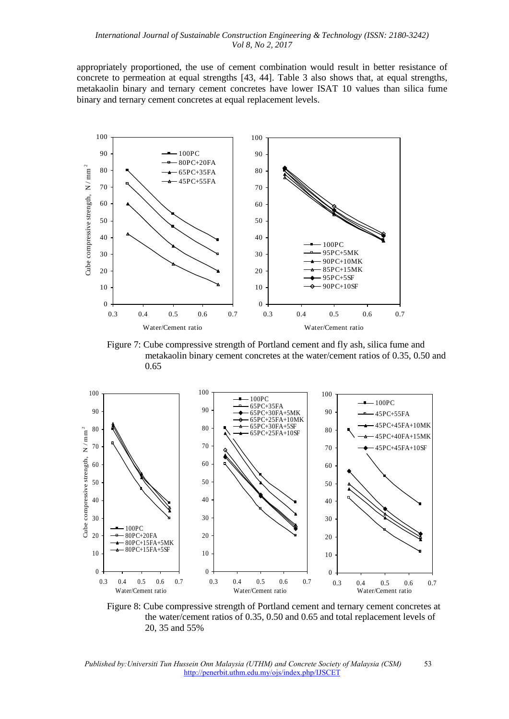appropriately proportioned, the use of cement combination would result in better resistance of concrete to permeation at equal strengths [43, 44]. Table 3 also shows that, at equal strengths, metakaolin binary and ternary cement concretes have lower ISAT 10 values than silica fume binary and ternary cement concretes at equal replacement levels.



 Figure 7: Cube compressive strength of Portland cement and fly ash, silica fume and metakaolin binary cement concretes at the water/cement ratios of 0.35, 0.50 and 0.65



 Figure 8: Cube compressive strength of Portland cement and ternary cement concretes at the water/cement ratios of 0.35, 0.50 and 0.65 and total replacement levels of 20, 35 and 55%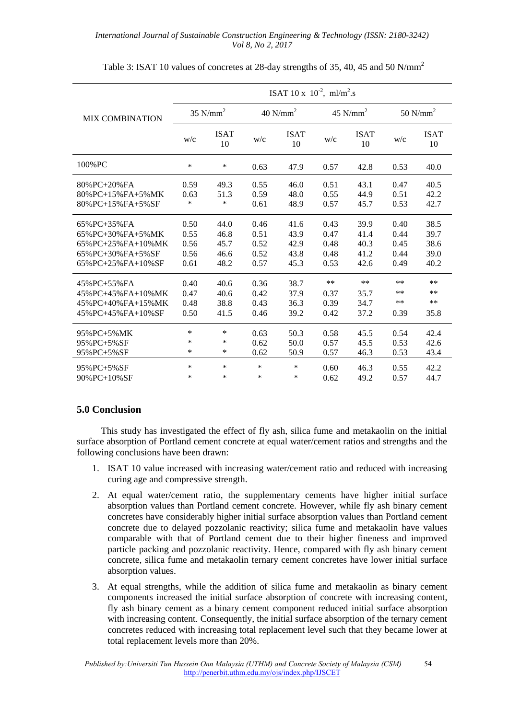|                         | ISAT 10 x $10^{-2}$ , ml/m <sup>2</sup> .s |                   |                        |                   |            |                   |            |                   |
|-------------------------|--------------------------------------------|-------------------|------------------------|-------------------|------------|-------------------|------------|-------------------|
| <b>MIX COMBINATION</b>  | $35$ N/mm <sup>2</sup>                     |                   | $40$ N/mm <sup>2</sup> |                   | 45 $N/mm2$ |                   | 50 $N/mm2$ |                   |
|                         | W/c                                        | <b>ISAT</b><br>10 | W/c                    | <b>ISAT</b><br>10 | W/c        | <b>ISAT</b><br>10 | W/c        | <b>ISAT</b><br>10 |
| 100%PC                  | ∗                                          | *                 | 0.63                   | 47.9              | 0.57       | 42.8              | 0.53       | 40.0              |
| $80\%$ PC+20% FA        | 0.59                                       | 49.3              | 0.55                   | 46.0              | 0.51       | 43.1              | 0.47       | 40.5              |
| $80\%$ PC+15% FA+5% MK  | 0.63                                       | 51.3              | 0.59                   | 48.0              | 0.55       | 44.9              | 0.51       | 42.2              |
| $80\%$ PC+15% FA+5% SF  | $\ast$                                     | *                 | 0.61                   | 48.9              | 0.57       | 45.7              | 0.53       | 42.7              |
| $65\%$ PC+35% FA        | 0.50                                       | 44.0              | 0.46                   | 41.6              | 0.43       | 39.9              | 0.40       | 38.5              |
| $65\%$ PC+30% FA+5% MK  | 0.55                                       | 46.8              | 0.51                   | 43.9              | 0.47       | 41.4              | 0.44       | 39.7              |
| $65\%$ PC+25% FA+10% MK | 0.56                                       | 45.7              | 0.52                   | 42.9              | 0.48       | 40.3              | 0.45       | 38.6              |
| $65\%$ PC+30% FA+5% SF  | 0.56                                       | 46.6              | 0.52                   | 43.8              | 0.48       | 41.2              | 0.44       | 39.0              |
| 65%PC+25%FA+10%SF       | 0.61                                       | 48.2              | 0.57                   | 45.3              | 0.53       | 42.6              | 0.49       | 40.2              |
| $45\%$ PC+55% FA        | 0.40                                       | 40.6              | 0.36                   | 38.7              | **         | $**$              | $***$      | **                |
| 45% PC+45% FA+10% MK    | 0.47                                       | 40.6              | 0.42                   | 37.9              | 0.37       | 35.7              | $***$      | $***$             |
| 45% PC+40% FA+15% MK    | 0.48                                       | 38.8              | 0.43                   | 36.3              | 0.39       | 34.7              | $***$      | $***$             |
| 45%PC+45%FA+10%SF       | 0.50                                       | 41.5              | 0.46                   | 39.2              | 0.42       | 37.2              | 0.39       | 35.8              |
| 95% PC+5% MK            | *                                          | *                 | 0.63                   | 50.3              | 0.58       | 45.5              | 0.54       | 42.4              |
| $95\%$ PC+5% SF         | ∗                                          | *                 | 0.62                   | 50.0              | 0.57       | 45.5              | 0.53       | 42.6              |
| $95\%$ PC+5% SF         | ∗                                          | *                 | 0.62                   | 50.9              | 0.57       | 46.3              | 0.53       | 43.4              |
| $95\%$ PC+5% SF         | *                                          | *                 | $\ast$                 | $\ast$            | 0.60       | 46.3              | 0.55       | 42.2              |
| $90\%$ PC+10% SF        | $\ast$                                     | *                 | $\ast$                 | $\ast$            | 0.62       | 49.2              | 0.57       | 44.7              |

Table 3: ISAT 10 values of concretes at 28-day strengths of 35, 40, 45 and 50 N/mm<sup>2</sup>

# **5.0 Conclusion**

This study has investigated the effect of fly ash, silica fume and metakaolin on the initial surface absorption of Portland cement concrete at equal water/cement ratios and strengths and the following conclusions have been drawn:

- 1. ISAT 10 value increased with increasing water/cement ratio and reduced with increasing curing age and compressive strength.
- 2. At equal water/cement ratio, the supplementary cements have higher initial surface absorption values than Portland cement concrete. However, while fly ash binary cement concretes have considerably higher initial surface absorption values than Portland cement concrete due to delayed pozzolanic reactivity; silica fume and metakaolin have values comparable with that of Portland cement due to their higher fineness and improved particle packing and pozzolanic reactivity. Hence, compared with fly ash binary cement concrete, silica fume and metakaolin ternary cement concretes have lower initial surface absorption values.
- 3. At equal strengths, while the addition of silica fume and metakaolin as binary cement components increased the initial surface absorption of concrete with increasing content, fly ash binary cement as a binary cement component reduced initial surface absorption with increasing content. Consequently, the initial surface absorption of the ternary cement concretes reduced with increasing total replacement level such that they became lower at total replacement levels more than 20%.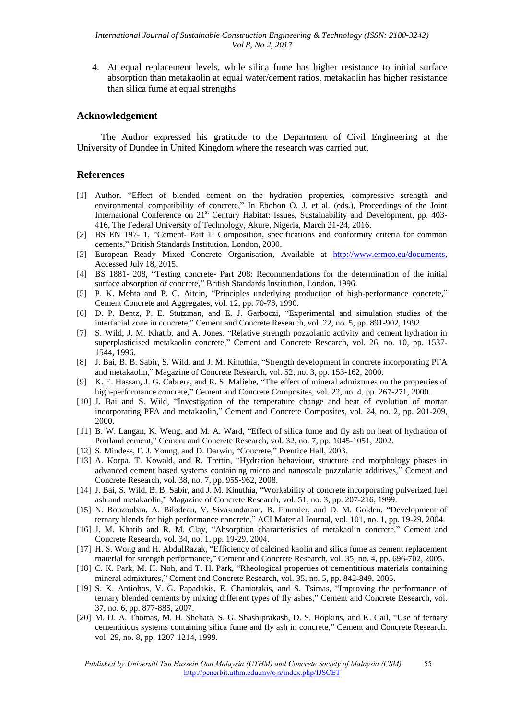4. At equal replacement levels, while silica fume has higher resistance to initial surface absorption than metakaolin at equal water/cement ratios, metakaolin has higher resistance than silica fume at equal strengths.

### **Acknowledgement**

The Author expressed his gratitude to the Department of Civil Engineering at the University of Dundee in United Kingdom where the research was carried out.

#### **References**

- [1] Author, "Effect of blended cement on the hydration properties, compressive strength and environmental compatibility of concrete," In Ebohon O. J. et al. (eds.), Proceedings of the Joint International Conference on 21<sup>st</sup> Century Habitat: Issues, Sustainability and Development, pp. 403-416, The Federal University of Technology, Akure, Nigeria, March 21-24, 2016.
- [2] BS EN 197- 1, "Cement- Part 1: Composition, specifications and conformity criteria for common cements," British Standards Institution, London, 2000.
- [3] European Ready Mixed Concrete Organisation, Available at [http://www.ermco.eu/documents,](http://www.ermco.eu/documents) Accessed July 18, 2015.
- [4] BS 1881- 208, "Testing concrete- Part 208: Recommendations for the determination of the initial surface absorption of concrete," British Standards Institution, London, 1996.
- [5] P. K. Mehta and P. C. Aitcin, "Principles underlying production of high-performance concrete," Cement Concrete and Aggregates, vol. 12, pp. 70-78, 1990.
- [6] D. P. Bentz, P. E. Stutzman, and E. J. Garboczi, "Experimental and simulation studies of the interfacial zone in concrete," Cement and Concrete Research, vol. 22, no. 5, pp. 891-902, 1992.
- [7] S. Wild, J. M. Khatib, and A. Jones, "Relative strength pozzolanic activity and cement hydration in superplasticised metakaolin concrete," Cement and Concrete Research, vol. 26, no. 10, pp. 1537- 1544, 1996.
- [8] J. Bai, B. B. Sabir, S. Wild, and J. M. Kinuthia, "Strength development in concrete incorporating PFA and metakaolin," Magazine of Concrete Research, vol. 52, no. 3, pp. 153-162, 2000.
- [9] K. E. Hassan, J. G. Cabrera, and R. S. Maliehe, "The effect of mineral admixtures on the properties of high-performance concrete," Cement and Concrete Composites, vol. 22, no. 4, pp. 267-271, 2000.
- [10] J. Bai and S. Wild, "Investigation of the temperature change and heat of evolution of mortar incorporating PFA and metakaolin," Cement and Concrete Composites, vol. 24, no. 2, pp. 201-209, 2000.
- [11] B. W. Langan, K. Weng, and M. A. Ward, "Effect of silica fume and fly ash on heat of hydration of Portland cement," Cement and Concrete Research, vol. 32, no. 7, pp. 1045-1051, 2002.
- [12] S. Mindess, F. J. Young, and D. Darwin, "Concrete," Prentice Hall, 2003.
- [13] A. Korpa, T. Kowald, and R. Trettin, "Hydration behaviour, structure and morphology phases in advanced cement based systems containing micro and nanoscale pozzolanic additives," Cement and Concrete Research, vol. 38, no. 7, pp. 955-962, 2008.
- [14] J. Bai, S. Wild, B. B. Sabir, and J. M. Kinuthia, "Workability of concrete incorporating pulverized fuel ash and metakaolin," Magazine of Concrete Research, vol. 51, no. 3, pp. 207-216, 1999.
- [15] N. Bouzoubaa, A. Bilodeau, V. Sivasundaram, B. Fournier, and D. M. Golden, "Development of ternary blends for high performance concrete," ACI Material Journal, vol. 101, no. 1, pp. 19-29, 2004.
- [16] J. M. Khatib and R. M. Clay, "Absorption characteristics of metakaolin concrete," Cement and Concrete Research, vol. 34, no. 1, pp. 19-29, 2004.
- [17] H. S. Wong and H. AbdulRazak, "Efficiency of calcined kaolin and silica fume as cement replacement material for strength performance," Cement and Concrete Research, vol. 35, no. 4, pp. 696-702, 2005.
- [18] C. K. Park, M. H. Noh, and T. H. Park, "Rheological properties of cementitious materials containing mineral admixtures," Cement and Concrete Research, vol. 35, no. 5, pp. 842-849, 2005.
- [19] S. K. Antiohos, V. G. Papadakis, E. Chaniotakis, and S. Tsimas, "Improving the performance of ternary blended cements by mixing different types of fly ashes," Cement and Concrete Research, vol. 37, no. 6, pp. 877-885, 2007.
- [20] M. D. A. Thomas, M. H. Shehata, S. G. Shashiprakash, D. S. Hopkins, and K. Cail, "Use of ternary cementitious systems containing silica fume and fly ash in concrete," Cement and Concrete Research, vol. 29, no. 8, pp. 1207-1214, 1999.